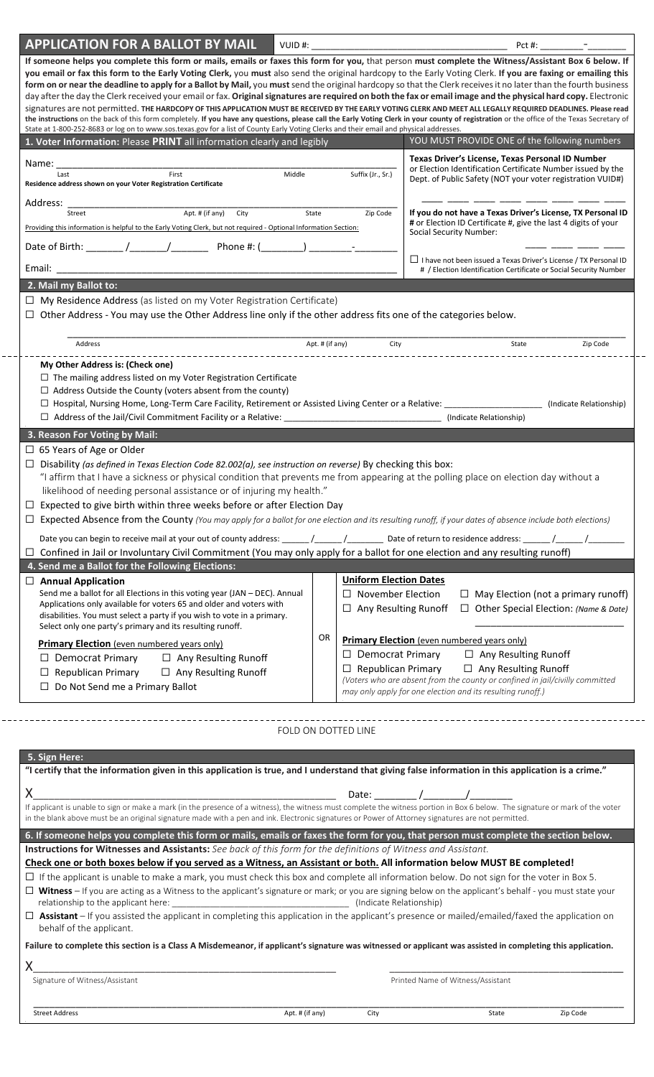| <b>APPLICATION FOR A BALLOT BY MAIL</b>                                                                                                                                                                                                                                                                                                                                                                                                                                                                                                                                                                                                                                                                                                                                                                                                                                                                                                                                                                                                                                                                                                                              | VUID#:              |                                                                                          | Pct #:                                                                                                                                                                                                                                                         |                                            |  |
|----------------------------------------------------------------------------------------------------------------------------------------------------------------------------------------------------------------------------------------------------------------------------------------------------------------------------------------------------------------------------------------------------------------------------------------------------------------------------------------------------------------------------------------------------------------------------------------------------------------------------------------------------------------------------------------------------------------------------------------------------------------------------------------------------------------------------------------------------------------------------------------------------------------------------------------------------------------------------------------------------------------------------------------------------------------------------------------------------------------------------------------------------------------------|---------------------|------------------------------------------------------------------------------------------|----------------------------------------------------------------------------------------------------------------------------------------------------------------------------------------------------------------------------------------------------------------|--------------------------------------------|--|
| If someone helps you complete this form or mails, emails or faxes this form for you, that person must complete the Witness/Assistant Box 6 below. If<br>you email or fax this form to the Early Voting Clerk, you must also send the original hardcopy to the Early Voting Clerk. If you are faxing or emailing this<br>form on or near the deadline to apply for a Ballot by Mail, you must send the original hardcopy so that the Clerk receives it no later than the fourth business<br>day after the day the Clerk received your email or fax. Original signatures are required on both the fax or email image and the physical hard copy. Electronic<br>signatures are not permitted. THE HARDCOPY OF THIS APPLICATION MUST BE RECEIVED BY THE EARLY VOTING CLERK AND MEET ALL LEGALLY REQUIRED DEADLINES. Please read<br>the instructions on the back of this form completely. If you have any questions, please call the Early Voting Clerk in your county of registration or the office of the Texas Secretary of<br>State at 1-800-252-8683 or log on to www.sos.texas.gov for a list of County Early Voting Clerks and their email and physical addresses. |                     |                                                                                          |                                                                                                                                                                                                                                                                |                                            |  |
| 1. Voter Information: Please PRINT all information clearly and legibly                                                                                                                                                                                                                                                                                                                                                                                                                                                                                                                                                                                                                                                                                                                                                                                                                                                                                                                                                                                                                                                                                               |                     |                                                                                          | YOU MUST PROVIDE ONE of the following numbers                                                                                                                                                                                                                  |                                            |  |
| Name:<br>First<br>Last<br>Residence address shown on your Voter Registration Certificate                                                                                                                                                                                                                                                                                                                                                                                                                                                                                                                                                                                                                                                                                                                                                                                                                                                                                                                                                                                                                                                                             | Middle              | Suffix (Jr., Sr.)                                                                        | Texas Driver's License, Texas Personal ID Number<br>or Election Identification Certificate Number issued by the<br>Dept. of Public Safety (NOT your voter registration VUID#)                                                                                  |                                            |  |
| Address:<br>$Apt.$ # (if any)<br>City<br>Street<br>Providing this information is helpful to the Early Voting Clerk, but not required - Optional Information Section:<br>Date of Birth: $\angle$ / / / / Phone #: (                                                                                                                                                                                                                                                                                                                                                                                                                                                                                                                                                                                                                                                                                                                                                                                                                                                                                                                                                   | State               | Zip Code                                                                                 | If you do not have a Texas Driver's License, TX Personal ID<br># or Election ID Certificate #, give the last 4 digits of your<br>Social Security Number:                                                                                                       |                                            |  |
| Email:                                                                                                                                                                                                                                                                                                                                                                                                                                                                                                                                                                                                                                                                                                                                                                                                                                                                                                                                                                                                                                                                                                                                                               |                     |                                                                                          | $\Box$ I have not been issued a Texas Driver's License / TX Personal ID<br># / Election Identification Certificate or Social Security Number                                                                                                                   |                                            |  |
| 2. Mail my Ballot to:                                                                                                                                                                                                                                                                                                                                                                                                                                                                                                                                                                                                                                                                                                                                                                                                                                                                                                                                                                                                                                                                                                                                                |                     |                                                                                          |                                                                                                                                                                                                                                                                |                                            |  |
| $\Box$ My Residence Address (as listed on my Voter Registration Certificate)<br>$\Box$ Other Address - You may use the Other Address line only if the other address fits one of the categories below.                                                                                                                                                                                                                                                                                                                                                                                                                                                                                                                                                                                                                                                                                                                                                                                                                                                                                                                                                                |                     |                                                                                          |                                                                                                                                                                                                                                                                |                                            |  |
| Address                                                                                                                                                                                                                                                                                                                                                                                                                                                                                                                                                                                                                                                                                                                                                                                                                                                                                                                                                                                                                                                                                                                                                              | Apt. # (if any)     | City                                                                                     | State                                                                                                                                                                                                                                                          | Zip Code                                   |  |
| My Other Address is: (Check one)<br>$\Box$ The mailing address listed on my Voter Registration Certificate<br>$\Box$ Address Outside the County (voters absent from the county)<br>3. Reason For Voting by Mail:                                                                                                                                                                                                                                                                                                                                                                                                                                                                                                                                                                                                                                                                                                                                                                                                                                                                                                                                                     |                     |                                                                                          |                                                                                                                                                                                                                                                                | (Indicate Relationship)                    |  |
| $\Box$ 65 Years of Age or Older<br>□ Disability (as defined in Texas Election Code 82.002(a), see instruction on reverse) By checking this box:<br>"I affirm that I have a sickness or physical condition that prevents me from appearing at the polling place on election day without a<br>likelihood of needing personal assistance or of injuring my health."<br>$\Box$ Expected to give birth within three weeks before or after Election Day<br>□ Expected Absence from the County (You may apply for a ballot for one election and its resulting runoff, if your dates of absence include both elections)                                                                                                                                                                                                                                                                                                                                                                                                                                                                                                                                                      |                     |                                                                                          |                                                                                                                                                                                                                                                                |                                            |  |
| $\Box$ Confined in Jail or Involuntary Civil Commitment (You may only apply for a ballot for one election and any resulting runoff)<br>4. Send me a Ballot for the Following Elections:                                                                                                                                                                                                                                                                                                                                                                                                                                                                                                                                                                                                                                                                                                                                                                                                                                                                                                                                                                              |                     |                                                                                          |                                                                                                                                                                                                                                                                |                                            |  |
| $\Box$ Annual Application<br>Send me a ballot for all Elections in this voting year (JAN - DEC). Annual<br>Applications only available for voters 65 and older and voters with<br>disabilities. You must select a party if you wish to vote in a primary.<br>Select only one party's primary and its resulting runoff.                                                                                                                                                                                                                                                                                                                                                                                                                                                                                                                                                                                                                                                                                                                                                                                                                                               |                     | <b>Uniform Election Dates</b><br>$\Box$ November Election<br>$\Box$ Any Resulting Runoff | $\Box$ Other Special Election: (Name & Date)                                                                                                                                                                                                                   | $\Box$ May Election (not a primary runoff) |  |
| <b>Primary Election</b> (even numbered years only)<br>$\Box$ Any Resulting Runoff<br>$\Box$ Democrat Primary<br>$\Box$ Republican Primary<br>$\Box$ Any Resulting Runoff<br>$\Box$ Do Not Send me a Primary Ballot                                                                                                                                                                                                                                                                                                                                                                                                                                                                                                                                                                                                                                                                                                                                                                                                                                                                                                                                                   | OR                  | $\Box$ Democrat Primary<br>$\Box$ Republican Primary                                     | <b>Primary Election</b> (even numbered years only)<br>$\Box$ Any Resulting Runoff<br>$\Box$ Any Resulting Runoff<br>(Voters who are absent from the county or confined in jail/civilly committed<br>may only apply for one election and its resulting runoff.) |                                            |  |
| 5. Sign Here:                                                                                                                                                                                                                                                                                                                                                                                                                                                                                                                                                                                                                                                                                                                                                                                                                                                                                                                                                                                                                                                                                                                                                        | FOLD ON DOTTED LINE |                                                                                          |                                                                                                                                                                                                                                                                |                                            |  |
| "I certify that the information given in this application is true, and I understand that giving false information in this application is a crime."                                                                                                                                                                                                                                                                                                                                                                                                                                                                                                                                                                                                                                                                                                                                                                                                                                                                                                                                                                                                                   |                     |                                                                                          |                                                                                                                                                                                                                                                                |                                            |  |
| X.<br>If applicant is unable to sign or make a mark (in the presence of a witness), the witness must complete the witness portion in Box 6 below. The signature or mark of the voter<br>in the blank above must be an original signature made with a pen and ink. Electronic signatures or Power of Attorney signatures are not permitted.                                                                                                                                                                                                                                                                                                                                                                                                                                                                                                                                                                                                                                                                                                                                                                                                                           |                     | Date:                                                                                    |                                                                                                                                                                                                                                                                |                                            |  |
| 6. If someone helps you complete this form or mails, emails or faxes the form for you, that person must complete the section below.<br>Instructions for Witnesses and Assistants: See back of this form for the definitions of Witness and Assistant.<br>Check one or both boxes below if you served as a Witness, an Assistant or both. All information below MUST BE completed!<br>$\Box$ If the applicant is unable to make a mark, you must check this box and complete all information below. Do not sign for the voter in Box 5.<br>$\Box$ Witness – If you are acting as a Witness to the applicant's signature or mark; or you are signing below on the applicant's behalf - you must state your<br>$\Box$ Assistant – If you assisted the applicant in completing this application in the applicant's presence or mailed/emailed/faxed the application on<br>behalf of the applicant.<br>Failure to complete this section is a Class A Misdemeanor, if applicant's signature was witnessed or applicant was assisted in completing this application.<br>Signature of Witness/Assistant                                                                      |                     |                                                                                          | Printed Name of Witness/Assistant                                                                                                                                                                                                                              |                                            |  |
| <b>Street Address</b>                                                                                                                                                                                                                                                                                                                                                                                                                                                                                                                                                                                                                                                                                                                                                                                                                                                                                                                                                                                                                                                                                                                                                | Apt. # (if any)     | City                                                                                     | State                                                                                                                                                                                                                                                          | Zip Code                                   |  |